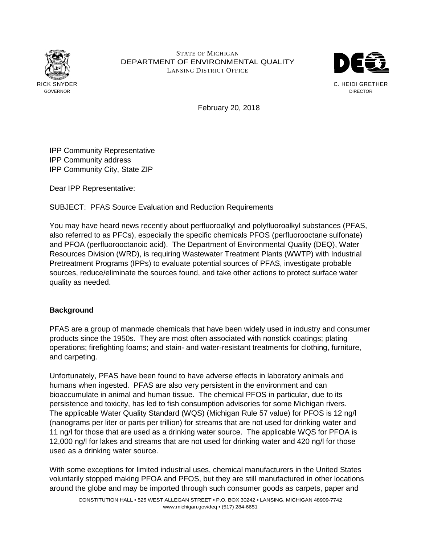

## STATE OF MICHIGAN DEPARTMENT OF ENVIRONMENTAL QUALITY LANSING DISTRICT OFFICE



February 20, 2018

IPP Community Representative IPP Community address IPP Community City, State ZIP

Dear IPP Representative:

SUBJECT: PFAS Source Evaluation and Reduction Requirements

You may have heard news recently about perfluoroalkyl and polyfluoroalkyl substances (PFAS, also referred to as PFCs), especially the specific chemicals PFOS (perfluorooctane sulfonate) and PFOA (perfluorooctanoic acid). The Department of Environmental Quality (DEQ), Water Resources Division (WRD), is requiring Wastewater Treatment Plants (WWTP) with Industrial Pretreatment Programs (IPPs) to evaluate potential sources of PFAS, investigate probable sources, reduce/eliminate the sources found, and take other actions to protect surface water quality as needed.

## **Background**

PFAS are a group of manmade chemicals that have been widely used in industry and consumer products since the 1950s. They are most often associated with nonstick coatings; plating operations; firefighting foams; and stain- and water-resistant treatments for clothing, furniture, and carpeting.

Unfortunately, PFAS have been found to have adverse effects in laboratory animals and humans when ingested. PFAS are also very persistent in the environment and can bioaccumulate in animal and human tissue. The chemical PFOS in particular, due to its persistence and toxicity, has led to fish consumption advisories for some Michigan rivers. The applicable Water Quality Standard (WQS) (Michigan Rule 57 value) for PFOS is 12 ng/l (nanograms per liter or parts per trillion) for streams that are not used for drinking water and 11 ng/l for those that are used as a drinking water source. The applicable WQS for PFOA is 12,000 ng/l for lakes and streams that are not used for drinking water and 420 ng/l for those used as a drinking water source.

With some exceptions for limited industrial uses, chemical manufacturers in the United States voluntarily stopped making PFOA and PFOS, but they are still manufactured in other locations around the globe and may be imported through such consumer goods as carpets, paper and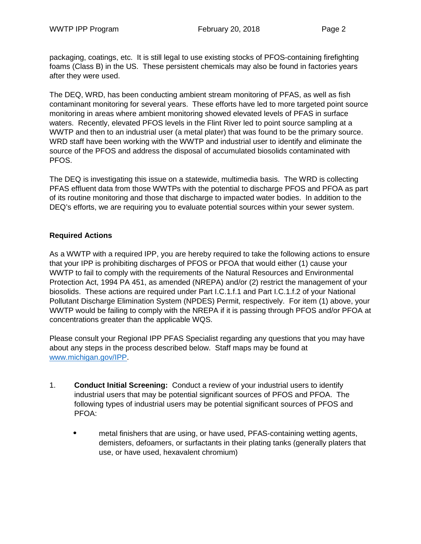packaging, coatings, etc. It is still legal to use existing stocks of PFOS-containing firefighting foams (Class B) in the US. These persistent chemicals may also be found in factories years after they were used.

The DEQ, WRD, has been conducting ambient stream monitoring of PFAS, as well as fish contaminant monitoring for several years. These efforts have led to more targeted point source monitoring in areas where ambient monitoring showed elevated levels of PFAS in surface waters. Recently, elevated PFOS levels in the Flint River led to point source sampling at a WWTP and then to an industrial user (a metal plater) that was found to be the primary source. WRD staff have been working with the WWTP and industrial user to identify and eliminate the source of the PFOS and address the disposal of accumulated biosolids contaminated with PFOS.

The DEQ is investigating this issue on a statewide, multimedia basis. The WRD is collecting PFAS effluent data from those WWTPs with the potential to discharge PFOS and PFOA as part of its routine monitoring and those that discharge to impacted water bodies. In addition to the DEQ's efforts, we are requiring you to evaluate potential sources within your sewer system.

## **Required Actions**

As a WWTP with a required IPP, you are hereby required to take the following actions to ensure that your IPP is prohibiting discharges of PFOS or PFOA that would either (1) cause your WWTP to fail to comply with the requirements of the Natural Resources and Environmental Protection Act, 1994 PA 451, as amended (NREPA) and/or (2) restrict the management of your biosolids. These actions are required under Part I.C.1.f.1 and Part I.C.1.f.2 of your National Pollutant Discharge Elimination System (NPDES) Permit, respectively. For item (1) above, your WWTP would be failing to comply with the NREPA if it is passing through PFOS and/or PFOA at concentrations greater than the applicable WQS.

Please consult your Regional IPP PFAS Specialist regarding any questions that you may have about any steps in the process described below. Staff maps may be found at www.michigan.gov/IPP.

- 1. **Conduct Initial Screening:** Conduct a review of your industrial users to identify industrial users that may be potential significant sources of PFOS and PFOA. The following types of industrial users may be potential significant sources of PFOS and PFOA:
	- metal finishers that are using, or have used, PFAS-containing wetting agents, demisters, defoamers, or surfactants in their plating tanks (generally platers that use, or have used, hexavalent chromium)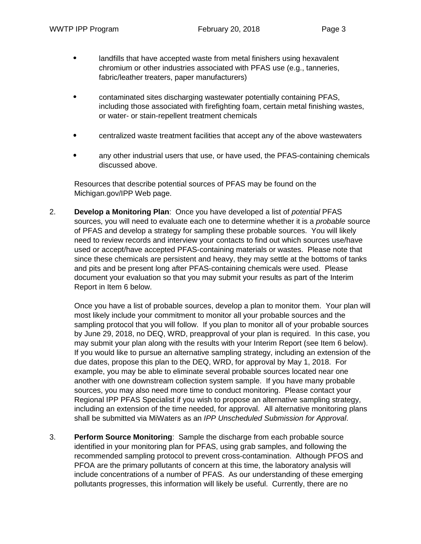- landfills that have accepted waste from metal finishers using hexavalent chromium or other industries associated with PFAS use (e.g., tanneries, fabric/leather treaters, paper manufacturers)
- contaminated sites discharging wastewater potentially containing PFAS, including those associated with firefighting foam, certain metal finishing wastes, or water- or stain-repellent treatment chemicals
- centralized waste treatment facilities that accept any of the above wastewaters
- any other industrial users that use, or have used, the PFAS-containing chemicals discussed above.

Resources that describe potential sources of PFAS may be found on the Michigan.gov/IPP Web page.

2. **Develop a Monitoring Plan**: Once you have developed a list of potential PFAS sources, you will need to evaluate each one to determine whether it is a *probable* source of PFAS and develop a strategy for sampling these probable sources. You will likely need to review records and interview your contacts to find out which sources use/have used or accept/have accepted PFAS-containing materials or wastes. Please note that since these chemicals are persistent and heavy, they may settle at the bottoms of tanks and pits and be present long after PFAS-containing chemicals were used. Please document your evaluation so that you may submit your results as part of the Interim Report in Item 6 below.

Once you have a list of probable sources, develop a plan to monitor them. Your plan will most likely include your commitment to monitor all your probable sources and the sampling protocol that you will follow. If you plan to monitor all of your probable sources by June 29, 2018, no DEQ, WRD, preapproval of your plan is required. In this case, you may submit your plan along with the results with your Interim Report (see Item 6 below). If you would like to pursue an alternative sampling strategy, including an extension of the due dates, propose this plan to the DEQ, WRD, for approval by May 1, 2018. For example, you may be able to eliminate several probable sources located near one another with one downstream collection system sample. If you have many probable sources, you may also need more time to conduct monitoring. Please contact your Regional IPP PFAS Specialist if you wish to propose an alternative sampling strategy, including an extension of the time needed, for approval. All alternative monitoring plans shall be submitted via MiWaters as an IPP Unscheduled Submission for Approval.

3. **Perform Source Monitoring**: Sample the discharge from each probable source identified in your monitoring plan for PFAS, using grab samples, and following the recommended sampling protocol to prevent cross-contamination. Although PFOS and PFOA are the primary pollutants of concern at this time, the laboratory analysis will include concentrations of a number of PFAS. As our understanding of these emerging pollutants progresses, this information will likely be useful. Currently, there are no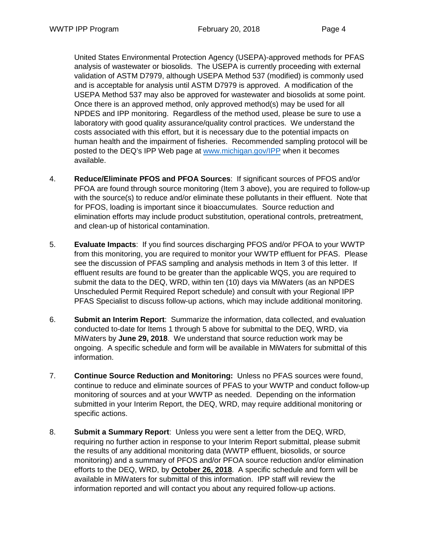United States Environmental Protection Agency (USEPA)-approved methods for PFAS analysis of wastewater or biosolids. The USEPA is currently proceeding with external validation of ASTM D7979, although USEPA Method 537 (modified) is commonly used and is acceptable for analysis until ASTM D7979 is approved. A modification of the USEPA Method 537 may also be approved for wastewater and biosolids at some point. Once there is an approved method, only approved method(s) may be used for all NPDES and IPP monitoring. Regardless of the method used, please be sure to use a laboratory with good quality assurance/quality control practices. We understand the costs associated with this effort, but it is necessary due to the potential impacts on human health and the impairment of fisheries. Recommended sampling protocol will be posted to the DEQ's IPP Web page at www.michigan.gov/IPP when it becomes available.

- 4. **Reduce/Eliminate PFOS and PFOA Sources**: If significant sources of PFOS and/or PFOA are found through source monitoring (Item 3 above), you are required to follow-up with the source(s) to reduce and/or eliminate these pollutants in their effluent. Note that for PFOS, loading is important since it bioaccumulates. Source reduction and elimination efforts may include product substitution, operational controls, pretreatment, and clean-up of historical contamination.
- 5. **Evaluate Impacts**: If you find sources discharging PFOS and/or PFOA to your WWTP from this monitoring, you are required to monitor your WWTP effluent for PFAS. Please see the discussion of PFAS sampling and analysis methods in Item 3 of this letter. If effluent results are found to be greater than the applicable WQS, you are required to submit the data to the DEQ, WRD, within ten (10) days via MiWaters (as an NPDES Unscheduled Permit Required Report schedule) and consult with your Regional IPP PFAS Specialist to discuss follow-up actions, which may include additional monitoring.
- 6. **Submit an Interim Report**: Summarize the information, data collected, and evaluation conducted to-date for Items 1 through 5 above for submittal to the DEQ, WRD, via MiWaters by **June 29, 2018**. We understand that source reduction work may be ongoing. A specific schedule and form will be available in MiWaters for submittal of this information.
- 7. **Continue Source Reduction and Monitoring:** Unless no PFAS sources were found, continue to reduce and eliminate sources of PFAS to your WWTP and conduct follow-up monitoring of sources and at your WWTP as needed. Depending on the information submitted in your Interim Report, the DEQ, WRD, may require additional monitoring or specific actions.
- 8. **Submit a Summary Report**: Unless you were sent a letter from the DEQ, WRD, requiring no further action in response to your Interim Report submittal, please submit the results of any additional monitoring data (WWTP effluent, biosolids, or source monitoring) and a summary of PFOS and/or PFOA source reduction and/or elimination efforts to the DEQ, WRD, by **October 26, 2018**. A specific schedule and form will be available in MiWaters for submittal of this information. IPP staff will review the information reported and will contact you about any required follow-up actions.